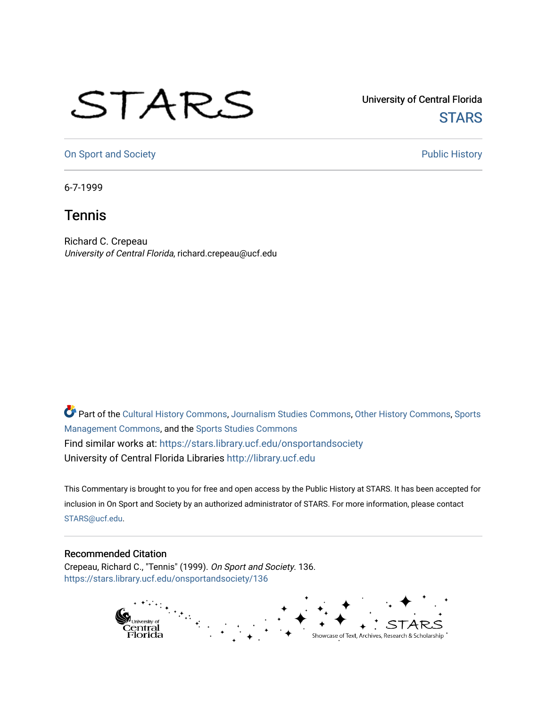## STARS

University of Central Florida **STARS** 

[On Sport and Society](https://stars.library.ucf.edu/onsportandsociety) **Public History** Public History

6-7-1999

## **Tennis**

Richard C. Crepeau University of Central Florida, richard.crepeau@ucf.edu

Part of the [Cultural History Commons](http://network.bepress.com/hgg/discipline/496?utm_source=stars.library.ucf.edu%2Fonsportandsociety%2F136&utm_medium=PDF&utm_campaign=PDFCoverPages), [Journalism Studies Commons,](http://network.bepress.com/hgg/discipline/333?utm_source=stars.library.ucf.edu%2Fonsportandsociety%2F136&utm_medium=PDF&utm_campaign=PDFCoverPages) [Other History Commons,](http://network.bepress.com/hgg/discipline/508?utm_source=stars.library.ucf.edu%2Fonsportandsociety%2F136&utm_medium=PDF&utm_campaign=PDFCoverPages) [Sports](http://network.bepress.com/hgg/discipline/1193?utm_source=stars.library.ucf.edu%2Fonsportandsociety%2F136&utm_medium=PDF&utm_campaign=PDFCoverPages) [Management Commons](http://network.bepress.com/hgg/discipline/1193?utm_source=stars.library.ucf.edu%2Fonsportandsociety%2F136&utm_medium=PDF&utm_campaign=PDFCoverPages), and the [Sports Studies Commons](http://network.bepress.com/hgg/discipline/1198?utm_source=stars.library.ucf.edu%2Fonsportandsociety%2F136&utm_medium=PDF&utm_campaign=PDFCoverPages) Find similar works at: <https://stars.library.ucf.edu/onsportandsociety> University of Central Florida Libraries [http://library.ucf.edu](http://library.ucf.edu/) 

This Commentary is brought to you for free and open access by the Public History at STARS. It has been accepted for inclusion in On Sport and Society by an authorized administrator of STARS. For more information, please contact [STARS@ucf.edu](mailto:STARS@ucf.edu).

## Recommended Citation

Crepeau, Richard C., "Tennis" (1999). On Sport and Society. 136. [https://stars.library.ucf.edu/onsportandsociety/136](https://stars.library.ucf.edu/onsportandsociety/136?utm_source=stars.library.ucf.edu%2Fonsportandsociety%2F136&utm_medium=PDF&utm_campaign=PDFCoverPages)

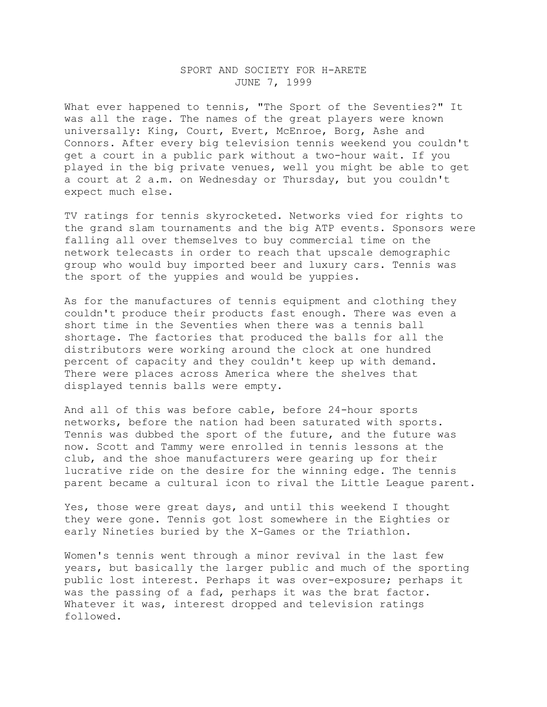## SPORT AND SOCIETY FOR H-ARETE JUNE 7, 1999

What ever happened to tennis, "The Sport of the Seventies?" It was all the rage. The names of the great players were known universally: King, Court, Evert, McEnroe, Borg, Ashe and Connors. After every big television tennis weekend you couldn't get a court in a public park without a two-hour wait. If you played in the big private venues, well you might be able to get a court at 2 a.m. on Wednesday or Thursday, but you couldn't expect much else.

TV ratings for tennis skyrocketed. Networks vied for rights to the grand slam tournaments and the big ATP events. Sponsors were falling all over themselves to buy commercial time on the network telecasts in order to reach that upscale demographic group who would buy imported beer and luxury cars. Tennis was the sport of the yuppies and would be yuppies.

As for the manufactures of tennis equipment and clothing they couldn't produce their products fast enough. There was even a short time in the Seventies when there was a tennis ball shortage. The factories that produced the balls for all the distributors were working around the clock at one hundred percent of capacity and they couldn't keep up with demand. There were places across America where the shelves that displayed tennis balls were empty.

And all of this was before cable, before 24-hour sports networks, before the nation had been saturated with sports. Tennis was dubbed the sport of the future, and the future was now. Scott and Tammy were enrolled in tennis lessons at the club, and the shoe manufacturers were gearing up for their lucrative ride on the desire for the winning edge. The tennis parent became a cultural icon to rival the Little League parent.

Yes, those were great days, and until this weekend I thought they were gone. Tennis got lost somewhere in the Eighties or early Nineties buried by the X-Games or the Triathlon.

Women's tennis went through a minor revival in the last few years, but basically the larger public and much of the sporting public lost interest. Perhaps it was over-exposure; perhaps it was the passing of a fad, perhaps it was the brat factor. Whatever it was, interest dropped and television ratings followed.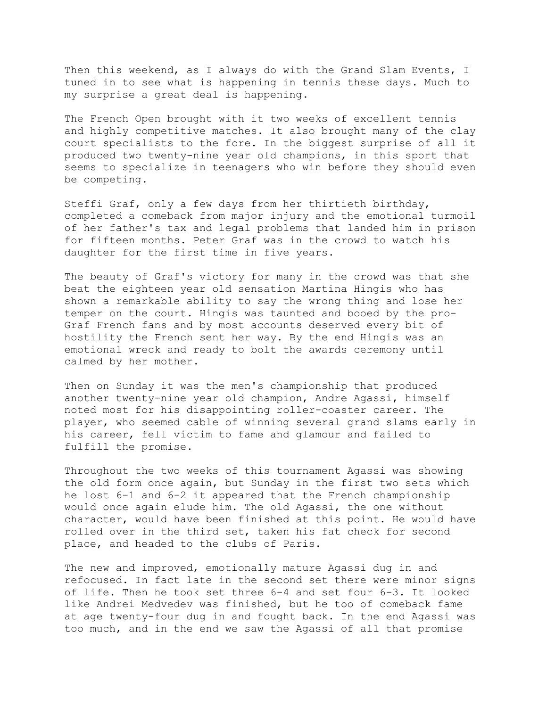Then this weekend, as I always do with the Grand Slam Events, I tuned in to see what is happening in tennis these days. Much to my surprise a great deal is happening.

The French Open brought with it two weeks of excellent tennis and highly competitive matches. It also brought many of the clay court specialists to the fore. In the biggest surprise of all it produced two twenty-nine year old champions, in this sport that seems to specialize in teenagers who win before they should even be competing.

Steffi Graf, only a few days from her thirtieth birthday, completed a comeback from major injury and the emotional turmoil of her father's tax and legal problems that landed him in prison for fifteen months. Peter Graf was in the crowd to watch his daughter for the first time in five years.

The beauty of Graf's victory for many in the crowd was that she beat the eighteen year old sensation Martina Hingis who has shown a remarkable ability to say the wrong thing and lose her temper on the court. Hingis was taunted and booed by the pro-Graf French fans and by most accounts deserved every bit of hostility the French sent her way. By the end Hingis was an emotional wreck and ready to bolt the awards ceremony until calmed by her mother.

Then on Sunday it was the men's championship that produced another twenty-nine year old champion, Andre Agassi, himself noted most for his disappointing roller-coaster career. The player, who seemed cable of winning several grand slams early in his career, fell victim to fame and glamour and failed to fulfill the promise.

Throughout the two weeks of this tournament Agassi was showing the old form once again, but Sunday in the first two sets which he lost 6-1 and 6-2 it appeared that the French championship would once again elude him. The old Agassi, the one without character, would have been finished at this point. He would have rolled over in the third set, taken his fat check for second place, and headed to the clubs of Paris.

The new and improved, emotionally mature Agassi dug in and refocused. In fact late in the second set there were minor signs of life. Then he took set three 6-4 and set four 6-3. It looked like Andrei Medvedev was finished, but he too of comeback fame at age twenty-four dug in and fought back. In the end Agassi was too much, and in the end we saw the Agassi of all that promise